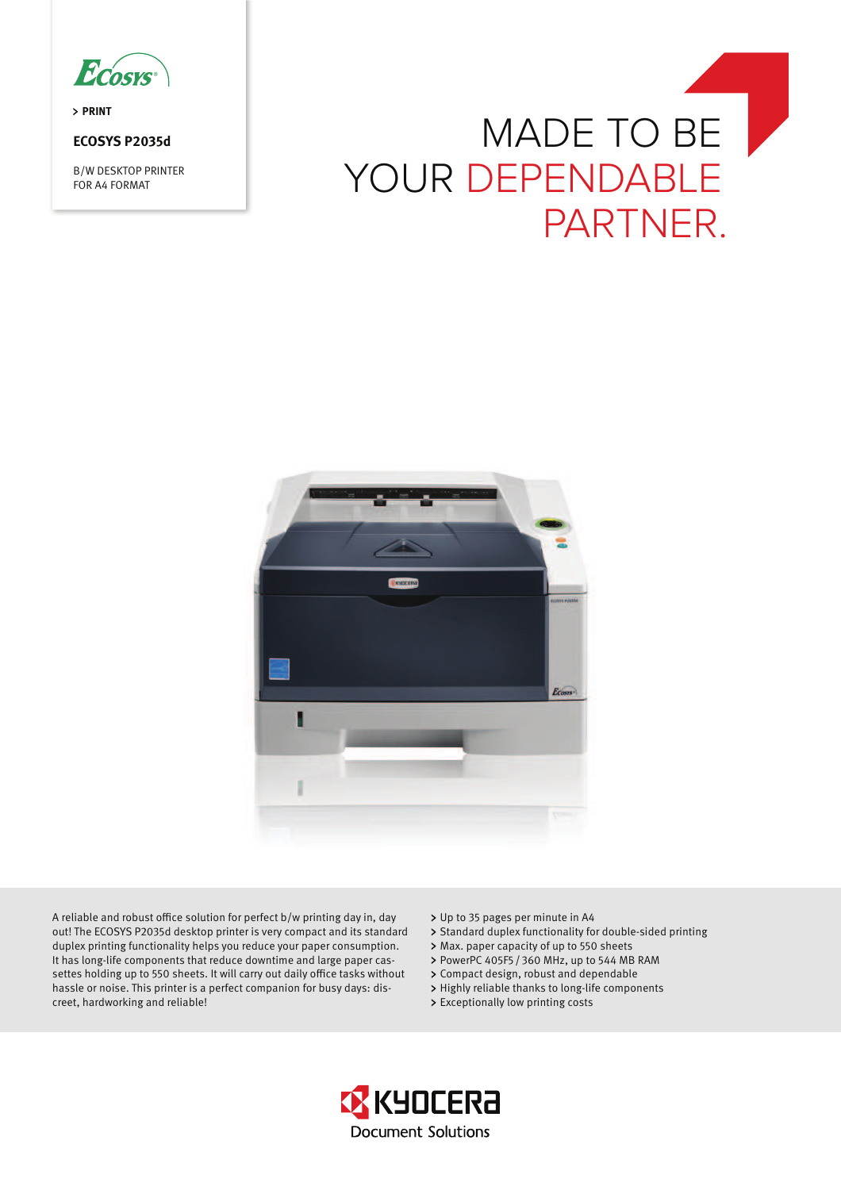

**PRINT** 

# **ECOSYS P2035d**

B/W DESKTOP PRINTER FOR A4 FORMAT





A reliable and robust office solution for perfect b/w printing day in, day out! The ECOSYS P2035d desktop printer is very compact and its standard duplex printing functionality helps you reduce your paper consumption. It has long-life components that reduce downtime and large paper cassettes holding up to 550 sheets. It will carry out daily office tasks without hassle or noise. This printer is a perfect companion for busy days: discreet, hardworking and reliable!

- Up to 35 pages per minute in A4
- > Standard duplex functionality for double-sided printing
- Max. paper capacity of up to 550 sheets
- > PowerPC 405F5 / 360 MHz, up to 544 MB RAM
- Compact design, robust and dependable
- > Highly reliable thanks to long-life components
- > Exceptionally low printing costs